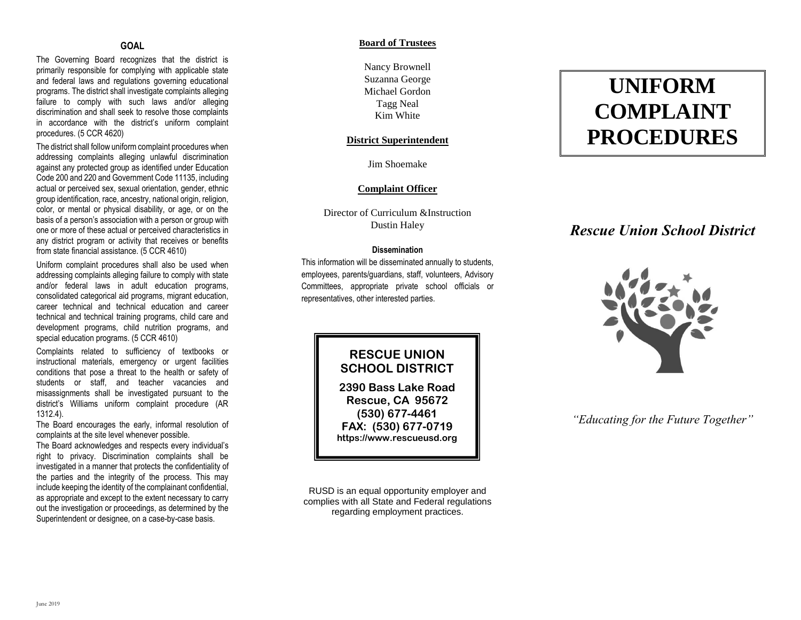# **GOAL**

The Governing Board recognizes that the district is primarily responsible for complying with applicable state and federal laws and regulations governing educational programs. The district shall investigate complaints alleging failure to comply with such laws and/or alleging discrimination and shall seek to resolve those complaints in accordance with the district's uniform complaint procedures. (5 CCR 4620)

The district shall follow uniform complaint procedures when addressing complaints alleging unlawful discrimination against any protected group as identified under Education Code 200 and 220 and Government Code 11135, including actual or perceived sex, sexual orientation, gender, ethnic group identification, race, ancestry, national origin, religion, color, or mental or physical disability, or age, or on the basis of a person's association with a person or group with one or more of these actual or perceived characteristics in any district program or activity that receives or benefits from state financial assistance. (5 CCR 4610)

Uniform complaint procedures shall also be used when addressing complaints alleging failure to comply with state and/or federal laws in adult education programs, consolidated categorical aid programs, migrant education, career technical and technical education and career technical and technical training programs, child care and development programs, child nutrition programs, and special education programs. (5 CCR 4610)

Complaints related to sufficiency of textbooks or instructional materials, emergency or urgent facilities conditions that pose a threat to the health or safety of students or staff, and teacher vacancies and misassignments shall be investigated pursuant to the district's Williams uniform complaint procedure (AR 1312.4).

The Board encourages the early, informal resolution of complaints at the site level whenever possible.

The Board acknowledges and respects every individual's right to privacy. Discrimination complaints shall be investigated in a manner that protects the confidentiality of the parties and the integrity of the process. This may include keeping the identity of the complainant confidential, as appropriate and except to the extent necessary to carry out the investigation or proceedings, as determined by the Superintendent or designee, on a case-by-case basis.

## **Board of Trustees**

Nancy Brownell Suzanna George Michael Gordon Tagg Neal Kim White

## **District Superintendent**

Jim Shoemake

## **Complaint Officer**

Director of Curriculum &Instruction Dustin Haley

## **Dissemination**

This information will be disseminated annually to students, employees, parents/guardians, staff, volunteers, Advisory Committees, appropriate private school officials or representatives, other interested parties.

# **RESCUE UNION SCHOOL DISTRICT**

**2390 Bass Lake Road Rescue, CA 95672 (530) 677-4461 FAX: (530) 677-0719 https://www.rescueusd.org**

RUSD is an equal opportunity employer and complies with all State and Federal regulations regarding employment practices.

# **UNIFORM COMPLAINT PROCEDURES**

# *Rescue Union School District*



*"Educating for the Future Together"*